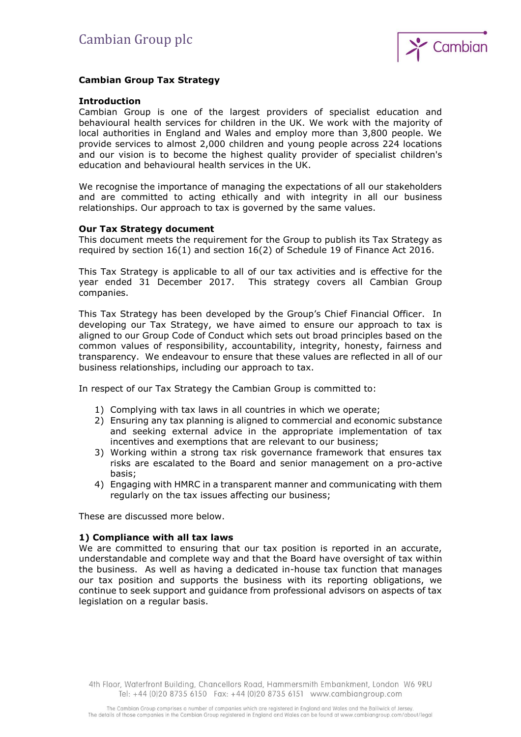

# **Cambian Group Tax Strategy**

## **Introduction**

Cambian Group is one of the largest providers of specialist education and behavioural health services for children in the UK. We work with the majority of local authorities in England and Wales and employ more than 3,800 people. We provide services to almost 2,000 children and young people across 224 locations and our vision is to become the highest quality provider of specialist children's education and behavioural health services in the UK.

We recognise the importance of managing the expectations of all our stakeholders and are committed to acting ethically and with integrity in all our business relationships. Our approach to tax is governed by the same values.

## **Our Tax Strategy document**

This document meets the requirement for the Group to publish its Tax Strategy as required by section 16(1) and section 16(2) of Schedule 19 of Finance Act 2016.

This Tax Strategy is applicable to all of our tax activities and is effective for the year ended 31 December 2017. This strategy covers all Cambian Group companies.

This Tax Strategy has been developed by the Group's Chief Financial Officer. In developing our Tax Strategy, we have aimed to ensure our approach to tax is aligned to our Group Code of Conduct which sets out broad principles based on the common values of responsibility, accountability, integrity, honesty, fairness and transparency. We endeavour to ensure that these values are reflected in all of our business relationships, including our approach to tax.

In respect of our Tax Strategy the Cambian Group is committed to:

- 1) Complying with tax laws in all countries in which we operate;
- 2) Ensuring any tax planning is aligned to commercial and economic substance and seeking external advice in the appropriate implementation of tax incentives and exemptions that are relevant to our business;
- 3) Working within a strong tax risk governance framework that ensures tax risks are escalated to the Board and senior management on a pro-active basis;
- 4) Engaging with HMRC in a transparent manner and communicating with them regularly on the tax issues affecting our business;

These are discussed more below.

#### **1) Compliance with all tax laws**

We are committed to ensuring that our tax position is reported in an accurate, understandable and complete way and that the Board have oversight of tax within the business. As well as having a dedicated in-house tax function that manages our tax position and supports the business with its reporting obligations, we continue to seek support and guidance from professional advisors on aspects of tax legislation on a regular basis.

4th Floor, Waterfront Building, Chancellors Road, Hammersmith Embankment, London W6 9RU Tel: +44 (0)20 8735 6150 Fax: +44 (0)20 8735 6151 www.cambiangroup.com